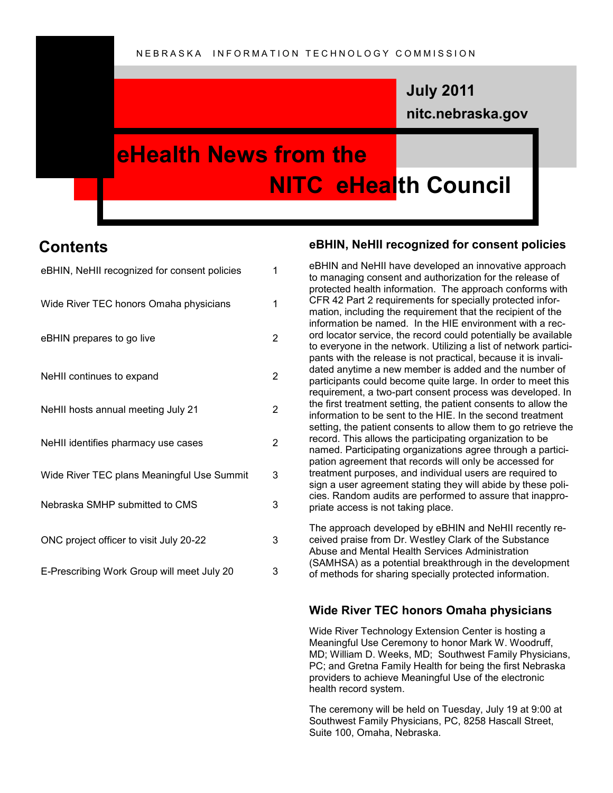### **nitc.nebraska.gov July 2011**

## **eHealth News from the NITC eHealth Council**

### **Contents**

| eBHIN, NeHII recognized for consent policies | $\mathbf{1}$   |
|----------------------------------------------|----------------|
| Wide River TEC honors Omaha physicians       | 1              |
| eBHIN prepares to go live                    | 2              |
| NeHII continues to expand                    | $\overline{2}$ |
| NeHII hosts annual meeting July 21           | $\overline{2}$ |
| NeHII identifies pharmacy use cases          | $\overline{2}$ |
| Wide River TEC plans Meaningful Use Summit   | 3              |
| Nebraska SMHP submitted to CMS               | 3              |
| ONC project officer to visit July 20-22      | 3              |
| E-Prescribing Work Group will meet July 20   | 3              |

#### **eBHIN, NeHII recognized for consent policies**

eBHIN and NeHII have developed an innovative approach to managing consent and authorization for the release of protected health information. The approach conforms with CFR 42 Part 2 requirements for specially protected information, including the requirement that the recipient of the information be named. In the HIE environment with a record locator service, the record could potentially be available to everyone in the network. Utilizing a list of network participants with the release is not practical, because it is invalidated anytime a new member is added and the number of participants could become quite large. In order to meet this requirement, a two-part consent process was developed. In the first treatment setting, the patient consents to allow the information to be sent to the HIE. In the second treatment setting, the patient consents to allow them to go retrieve the record. This allows the participating organization to be named. Participating organizations agree through a participation agreement that records will only be accessed for treatment purposes, and individual users are required to sign a user agreement stating they will abide by these policies. Random audits are performed to assure that inappropriate access is not taking place.

The approach developed by eBHIN and NeHII recently received praise from Dr. Westley Clark of the Substance Abuse and Mental Health Services Administration (SAMHSA) as a potential breakthrough in the development of methods for sharing specially protected information.

#### **Wide River TEC honors Omaha physicians**

Wide River Technology Extension Center is hosting a Meaningful Use Ceremony to honor Mark W. Woodruff, MD; William D. Weeks, MD; Southwest Family Physicians, PC; and Gretna Family Health for being the first Nebraska providers to achieve Meaningful Use of the electronic health record system.

The ceremony will be held on Tuesday, July 19 at 9:00 at Southwest Family Physicians, PC, 8258 Hascall Street, Suite 100, Omaha, Nebraska.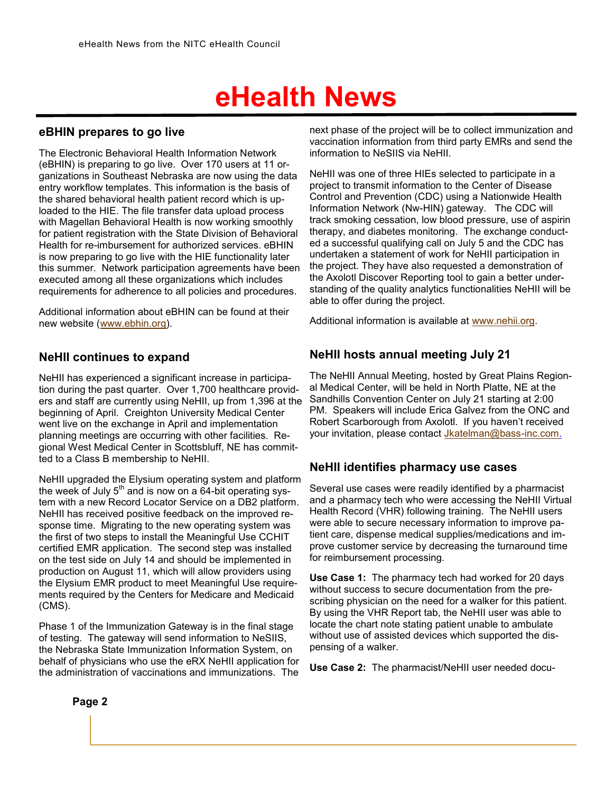# **eHealth News**

#### **eBHIN prepares to go live**

The Electronic Behavioral Health Information Network (eBHIN) is preparing to go live. Over 170 users at 11 organizations in Southeast Nebraska are now using the data entry workflow templates. This information is the basis of the shared behavioral health patient record which is uploaded to the HIE. The file transfer data upload process with Magellan Behavioral Health is now working smoothly for patient registration with the State Division of Behavioral Health for re-imbursement for authorized services. eBHIN is now preparing to go live with the HIE functionality later this summer. Network participation agreements have been executed among all these organizations which includes requirements for adherence to all policies and procedures.

Additional information about eBHIN can be found at their new website ([www.ebhin.org\)](http://www.ebhin.org).

#### **NeHII continues to expand**

NeHII has experienced a significant increase in participation during the past quarter. Over 1,700 healthcare providers and staff are currently using NeHII, up from 1,396 at the beginning of April. Creighton University Medical Center went live on the exchange in April and implementation planning meetings are occurring with other facilities. Regional West Medical Center in Scottsbluff, NE has committed to a Class B membership to NeHII.

NeHII upgraded the Elysium operating system and platform the week of July  $5<sup>th</sup>$  and is now on a  $64$ -bit operating system with a new Record Locator Service on a DB2 platform. NeHII has received positive feedback on the improved response time. Migrating to the new operating system was the first of two steps to install the Meaningful Use CCHIT certified EMR application. The second step was installed on the test side on July 14 and should be implemented in production on August 11, which will allow providers using the Elysium EMR product to meet Meaningful Use requirements required by the Centers for Medicare and Medicaid (CMS).

Phase 1 of the Immunization Gateway is in the final stage of testing. The gateway will send information to NeSIIS, the Nebraska State Immunization Information System, on behalf of physicians who use the eRX NeHII application for the administration of vaccinations and immunizations. The next phase of the project will be to collect immunization and vaccination information from third party EMRs and send the information to NeSIIS via NeHII.

NeHII was one of three HIEs selected to participate in a project to transmit information to the Center of Disease Control and Prevention (CDC) using a Nationwide Health Information Network (Nw-HIN) gateway. The CDC will track smoking cessation, low blood pressure, use of aspirin therapy, and diabetes monitoring. The exchange conducted a successful qualifying call on July 5 and the CDC has undertaken a statement of work for NeHII participation in the project. They have also requested a demonstration of the Axolotl Discover Reporting tool to gain a better understanding of the quality analytics functionalities NeHII will be able to offer during the project.

Additional information is available at [www.nehii.org.](http://www.nehii.org)

#### **NeHII hosts annual meeting July 21**

The NeHII Annual Meeting, hosted by Great Plains Regional Medical Center, will be held in North Platte, NE at the Sandhills Convention Center on July 21 starting at 2:00 PM. Speakers will include Erica Galvez from the ONC and Robert Scarborough from Axolotl. If you haven't received your invitation, please contact [Jkatelman@bass](mailto:Jkatelman@bass-inc.com)-inc.com.

#### **NeHII identifies pharmacy use cases**

Several use cases were readily identified by a pharmacist and a pharmacy tech who were accessing the NeHII Virtual Health Record (VHR) following training. The NeHII users were able to secure necessary information to improve patient care, dispense medical supplies/medications and improve customer service by decreasing the turnaround time for reimbursement processing.

**Use Case 1:** The pharmacy tech had worked for 20 days without success to secure documentation from the prescribing physician on the need for a walker for this patient. By using the VHR Report tab, the NeHII user was able to locate the chart note stating patient unable to ambulate without use of assisted devices which supported the dispensing of a walker.

**Use Case 2:** The pharmacist/NeHII user needed docu-